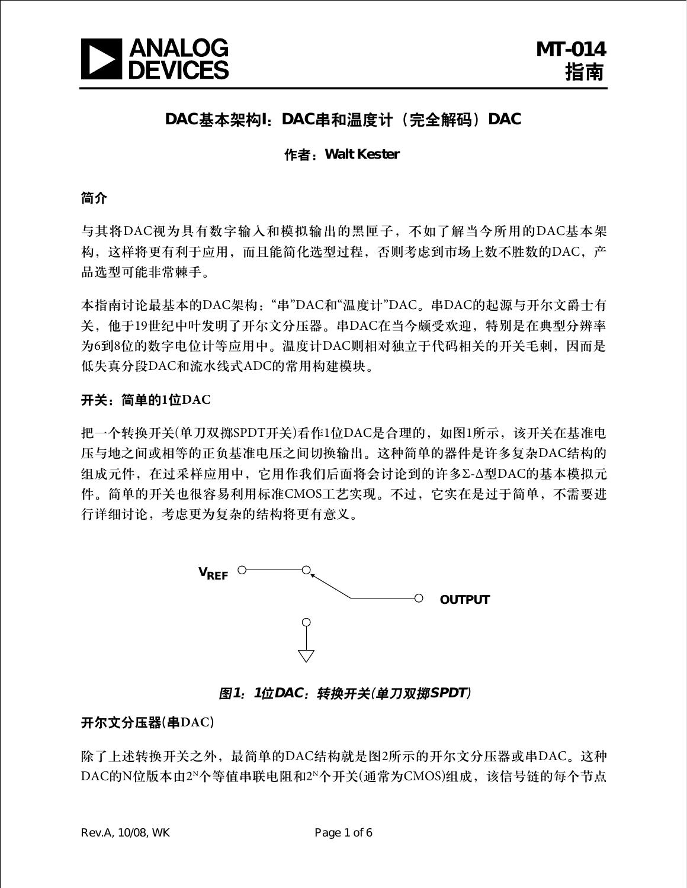

## **DAC**基本架构**I**:**DAC**串和温度计(完全解码)**DAC**

#### 作者:**Walt Kester**

#### 简介

与其将DAC视为具有数字输入和模拟输出的黑匣子,不如了解当今所用的DAC基本架 构,这样将更有利于应用,而且能简化选型过程,否则考虑到市场上数不胜数的DAC,产 品选型可能非常棘手。

本指南讨论最基本的DAC架构:"串"DAC和"温度计"DAC。串DAC的起源与开尔文爵士有 关,他于19世纪中叶发明了开尔文分压器。串DAC在当今颇受欢迎,特别是在典型分辨率 为6到8位的数字电位计等应用中。温度计DAC则相对独立于代码相关的开关毛刺,因而是 低失真分段DAC和流水线式ADC的常用构建模块。

#### 开关:简单的**1**位**DAC**

把一个转换开关(单刀双掷SPDT开关)看作1位DAC是合理的,如图1所示,该开关在基准电 压与地之间或相等的正负基准电压之间切换输出。这种简单的器件是许多复杂DAC结构的 组成元件,在过采样应用中,它用作我们后面将会讨论到的许多Σ-Δ型DAC的基本模拟元 件。简单的开关也很容易利用标准CMOS工艺实现。不过,它实在是过于简单,不需要进 行详细讨论,考虑更为复杂的结构将更有意义。



图**1**:**1**位**DAC**:转换开关(单刀双掷**SPDT**)

#### 开尔文分压器(串**DAC**)

除了上述转换开关之外,最简单的DAC结构就是图2所示的开尔文分压器或串DAC。这种 DAC的N位版本由2N个等值串联电阻和2N个开关(通常为CMOS)组成,该信号链的每个节点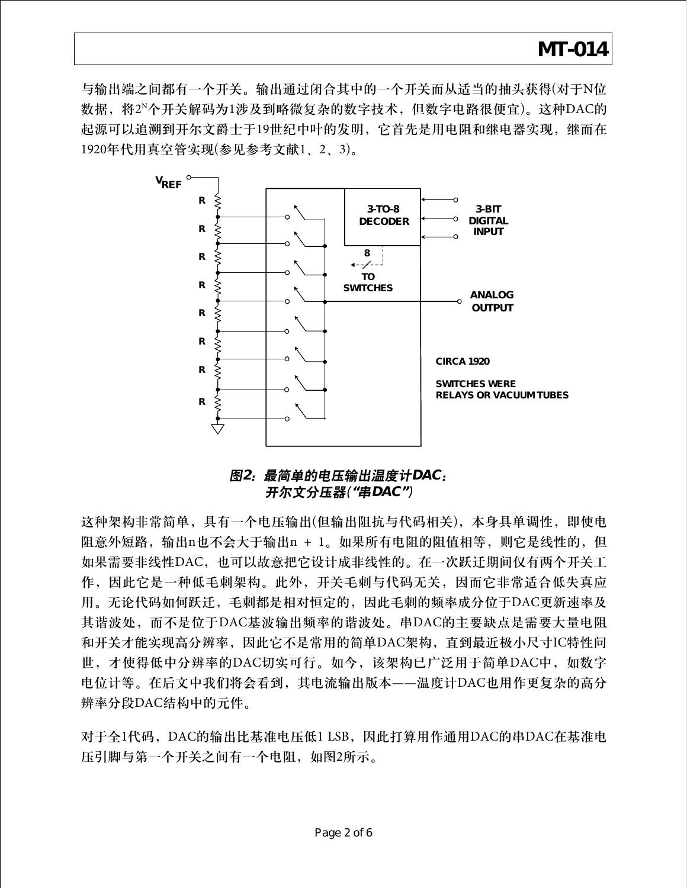与输出端之间都有一个开关。输出通过闭合其中的一个开关而从适当的抽头获得(对于N位 数据,将2N个开关解码为1涉及到略微复杂的数字技术,但数字电路很便宜)。这种DAC的 起源可以追溯到开尔文爵士于19世纪中叶的发明,它首先是用电阻和继电器实现,继而在 1920年代用真空管实现(参见参考文献1、2、3)。



### 图**2**:最简单的电压输出温度计**DAC**: 开尔文分压器(**"**串**DAC"**)

这种架构非常简单,具有一个电压输出(但输出阻抗与代码相关),本身具单调性,即使电 阻意外短路,输出n也不会大于输出n + 1。如果所有电阻的阻值相等,则它是线性的,但 如果需要非线性DAC,也可以故意把它设计成非线性的。在一次跃迁期间仅有两个开关工 作,因此它是一种低毛刺架构。此外,开关毛刺与代码无关,因而它非常适合低失真应 用。无论代码如何跃迁,毛刺都是相对恒定的,因此毛刺的频率成分位于DAC更新速率及 其谐波处,而不是位于DAC基波输出频率的谐波处。串DAC的主要缺点是需要大量电阻 和开关才能实现高分辨率,因此它不是常用的简单DAC架构,直到最近极小尺寸IC特性问 世,才使得低中分辨率的DAC切实可行。如今,该架构已广泛用于简单DAC中,如数字 电位计等。在后文中我们将会看到,其电流输出版本——温度计DAC也用作更复杂的高分 辨率分段DAC结构中的元件。

对于全1代码,DAC的输出比基准电压低1 LSB,因此打算用作通用DAC的串DAC在基准电 压引脚与第一个开关之间有一个电阻, 如图2所示。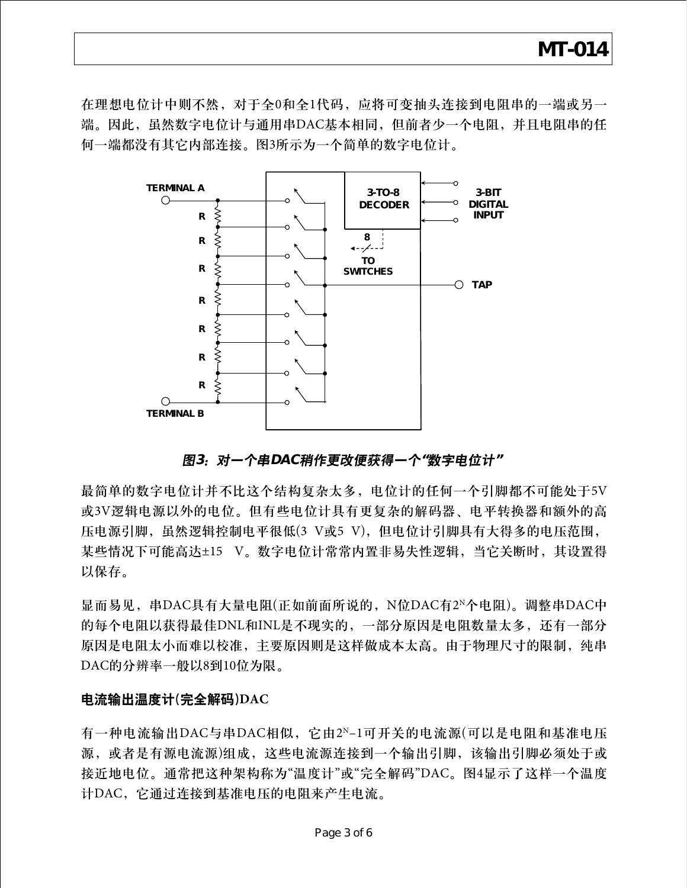在理想电位计中则不然,对于全0和全1代码,应将可变抽头连接到电阻串的一端或另一 端。因此,虽然数字电位计与通用串DAC基本相同,但前者少一个电阻,并且电阻串的任 何一端都没有其它内部连接。图3所示为一个简单的数字电位计。



### 图**3**:对一个串**DAC**稍作更改便获得一个**"**数字电位计**"**

最简单的数字电位计并不比这个结构复杂太多,电位计的任何一个引脚都不可能处于5V 或3V逻辑电源以外的电位。但有些电位计具有更复杂的解码器、电平转换器和额外的高 压电源引脚,虽然逻辑控制电平很低(3 V或5 V),但电位计引脚具有大得多的电压范围, 某些情况下可能高达±15 V。数字电位计常常内置非易失性逻辑, 当它关断时, 其设置得 以保存。

显而易见,串DAC具有大量电阻(正如前面所说的,N位DAC有2N个电阻)。调整串DAC中 的每个电阻以获得最佳DNL和INL是不现实的,一部分原因是电阻数量太多,还有一部分 原因是电阻太小而难以校准,主要原因则是这样做成本太高。由于物理尺寸的限制,纯串 DAC的分辨率一般以8到10位为限。

#### 电流输出温度计(完全解码)**DAC**

有一种电流输出DAC与串DAC相似,它由2N–1可开关的电流源(可以是电阻和基准电压 源,或者是有源电流源)组成,这些电流源连接到一个输出引脚,该输出引脚必须处于或 接近地电位。通常把这种架构称为"温度计"或"完全解码"DAC。图4显示了这样一个温度 计DAC,它通过连接到基准电压的电阻来产生电流。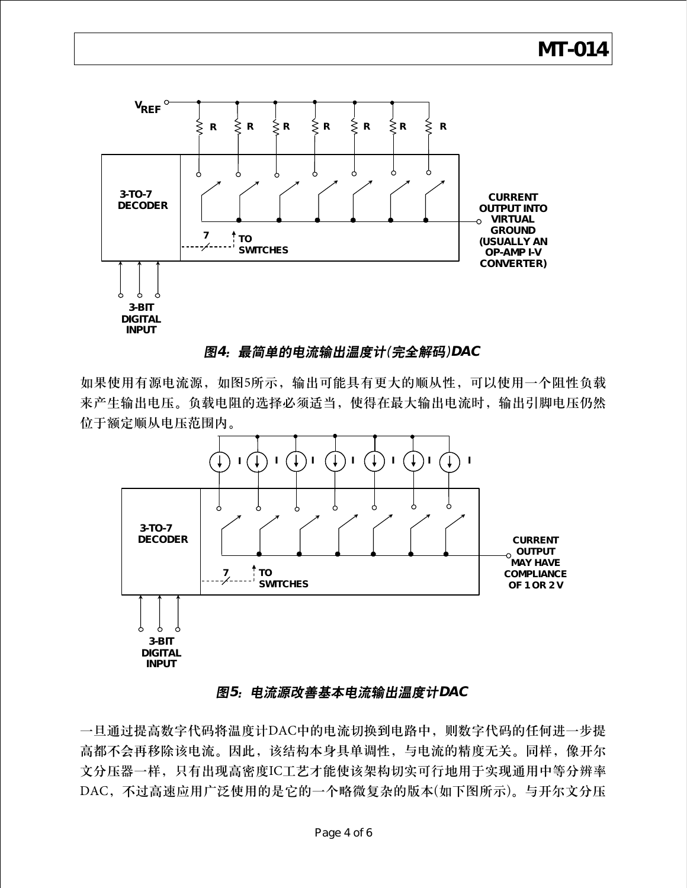

### 图**4**:最简单的电流输出温度计(完全解码)**DAC**

如果使用有源电流源,如图5所示,输出可能具有更大的顺从性,可以使用一个阻性负载 来产生输出电压。负载电阻的选择必须适当,使得在最大输出电流时,输出引脚电压仍然 位于额定顺从电压范围内。



### 图**5**:电流源改善基本电流输出温度计**DAC**

一旦通过提高数字代码将温度计DAC中的电流切换到电路中,则数字代码的任何进一步提 高都不会再移除该电流。因此,该结构本身具单调性,与电流的精度无关。同样,像开尔 文分压器一样,只有出现高密度IC工艺才能使该架构切实可行地用于实现通用中等分辨率 DAC,不过高速应用广泛使用的是它的一个略微复杂的版本(如下图所示)。与开尔文分压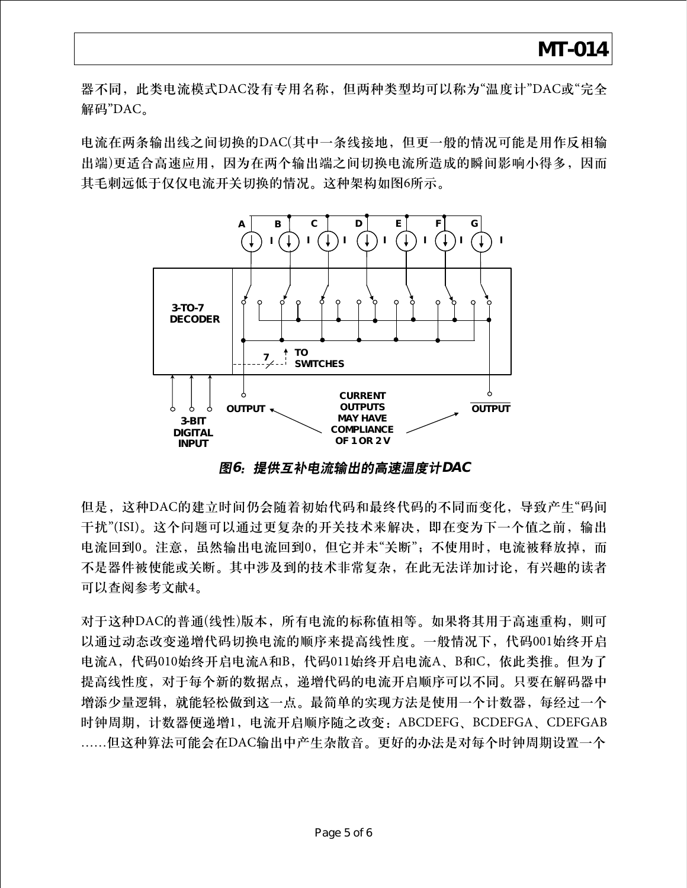器不同,此类电流模式DAC没有专用名称,但两种类型均可以称为"温度计"DAC或"完全 解码"DAC。

电流在两条输出线之间切换的DAC(其中一条线接地,但更一般的情况可能是用作反相输 出端)更适合高速应用,因为在两个输出端之间切换电流所造成的瞬间影响小得多,因而 其毛刺远低于仅仅电流开关切换的情况。这种架构如图6所示。



图**6**:提供互补电流输出的高速温度计**DAC**

但是,这种DAC的建立时间仍会随着初始代码和最终代码的不同而变化,导致产生"码间 干扰"(ISI)。这个问题可以通过更复杂的开关技术来解决,即在变为下一个值之前,输出 电流回到0。注意,虽然输出电流回到0,但它并未"关断";不使用时,电流被释放掉,而 不是器件被使能或关断。其中涉及到的技术非常复杂,在此无法详加讨论,有兴趣的读者 可以查阅参考文献4。

对于这种DAC的普通(线性)版本,所有电流的标称值相等。如果将其用于高速重构,则可 以通过动态改变递增代码切换电流的顺序来提高线性度。一般情况下,代码001始终开启 电流A,代码010始终开启电流A和B,代码011始终开启电流A、B和C,依此类推。但为了 提高线性度,对于每个新的数据点,递增代码的电流开启顺序可以不同。只要在解码器中 增添少量逻辑,就能轻松做到这一点。最简单的实现方法是使用一个计数器,每经过一个 时钟周期,计数器便递增1,电流开启顺序随之改变:ABCDEFG、BCDEFGA、CDEFGAB ……但这种算法可能会在DAC输出中产生杂散音。更好的办法是对每个时钟周期设置一个